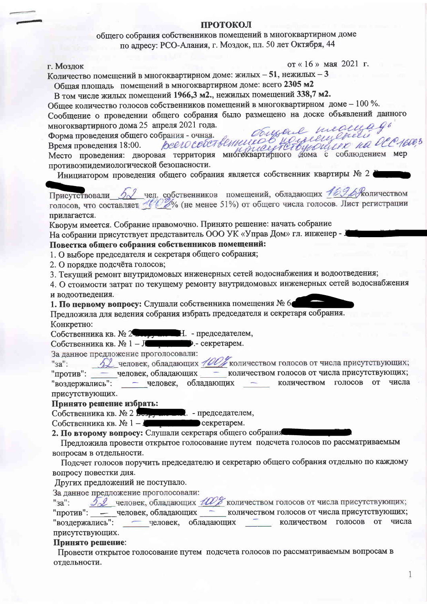# ПРОТОКОЛ

общего собрания собственников помещений в многоквартирном доме по алресу: РСО-Алания, г. Моздок, пл. 50 лет Октября, 44

г. Моздок

от «16» мая 2021 г.

Количество помещений в многоквартирном доме: жилых - 51, нежилых - 3

Общая площадь помещений в многоквартирном доме: всего 2305 м2

В том числе жилых помещений 1966,3 м2., нежилых помещений 338,7 м2.

Общее количество голосов собственников помещений в многоквартирном доме - 100 %. Сообщение о проведении общего собрания было размещено на доске объявлений данного consene meanings многоквартирного дома 25 апреля 2021 года.

Форма проведения общего собрания - очная. Солудале него ретитурной делей детей. противоэпидемиологической безопасности.

Инициатором проведения общего собрания является собственник квартиры № 2

Присутствовали 52 чел. собственников помещений, обладающих 169 В Жоличеством голосов, что составляет 100% (не менее 51%) от общего числа голосов. Лист регистрации прилагается.

Кворум имеется. Собрание правомочно. Принято решение: начать собрание На собрании присутствует представитель ООО УК «Управ Дом» гл. инженер - .

# Повестка общего собрания собственников помещений:

1. О выборе председателя и секретаря общего собрания;

2. О порядке подсчёта голосов;

3. Текущий ремонт внутридомовых инженерных сетей водоснабжения и водоотведения;

4. О стоимости затрат по текущему ремонту внутридомовых инженерных сетей водоснабжения и водоотведения.

1. По первому вопросу: Слушали собственника помещения № 6

Предложила для ведения собрания избрать председателя и секретаря собрания. Конкретно:

Собственника кв. № 2 Подрушие Н. - председателем,

Собственника кв. № 1 – Леника Секретарем.

За данное предложение проголосовали:

52 человек, обладающих 100% количеством голосов от числа присутствующих;  $"3a"$ : "против": - человек, обладающих - количеством голосов от числа присутствующих; - человек, обладающих количеством голосов от числа **Contract Contract Contract** "воздержались": присутствующих.

# Принято решение избрать:

Собственника кв. № 2 Безручителей. - председателем,

секретарем. Собственника кв.  $N_2$  1 - J

2. По второму вопросу: Слушали секретаря общего собрания

Предложила провести открытое голосование путем подсчета голосов по рассматриваемым вопросам в отдельности.

Подсчет голосов поручить председателю и секретарю общего собрания отдельно по каждому вопросу повестки дня.

Других предложений не поступало.

За данное предложение проголосовали: 52 человек, обладающих Шей количеством голосов от числа присутствующих;  $"3a"$ :

"против": - человек, обладающих количеством голосов от числа присутствующих;

"воздержались": - человек, обладающих количеством голосов от числа присутствующих.

# Принято решение:

Провести открытое голосование путем подсчета голосов по рассматриваемым вопросам в отдельности.